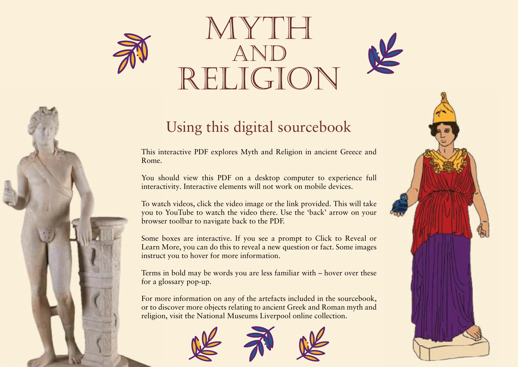

# RELIGION



# Using this digital sourcebook

This interactive PDF explores Myth and Religion in ancient Greece and Rome.

You should view this PDF on a desktop computer to experience full interactivity. Interactive elements will not work on mobile devices.

To watch videos, click the video image or the link provided. This will take you to YouTube to watch the video there. Use the 'back' arrow on your browser toolbar to navigate back to the PDF.

Some boxes are interactive. If you see a prompt to Click to Reveal or Learn More, you can do this to reveal a new question or fact. Some images instruct you to hover for more information.

Terms in bold may be words you are less familiar with – hover over these for a glossary pop-up.

For more information on any of the artefacts included in the sourcebook, or to discover more objects relating to ancient Greek and Roman myth and religion, visit the National Museums Liverpool online collection.



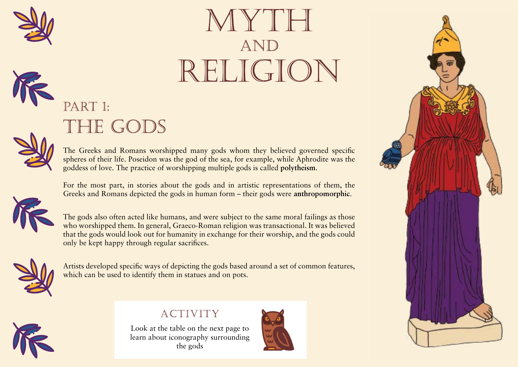

# MYTH **AND** RELIGION



# PART 1: THE GODS



The Greeks and Romans worshinned many gods whom they believed governed specific spheres of their life. Poseidon  $A$  religious system which while Aphrodite was the goddess of love. The practice c<br>worships multiple gods is depolytheism. worships multiple gods

For the most part, in stories about the gods and in artistic representations of them, the Greeks and Romans depicted the gods in hum<br>and their gods were anthropomorphic. Having human shape



The gods also often acted like humans, and were subject to the same moral failings as those who worshipped them. In general, Graeco-Roman religion was transactional. It was believed that the gods would look out for humanity in exchange for their worship, and the gods could only be kept happy through regular sacrifices. A religious system which<br>worships multiple gods<br>**out the gods and in artistic reparts**<br>gods in hum<br>Having human sh<br>mans, and were subject to the sa<br>l, Graeco-Roman religion was tra<br>humanity in exchange for their w<br>lar sacr



Artists developed specific ways of depicting the gods based around a set of common features, which can be used to identify them in statues and on pots.



Look at the table on the next page to learn about iconography surrounding



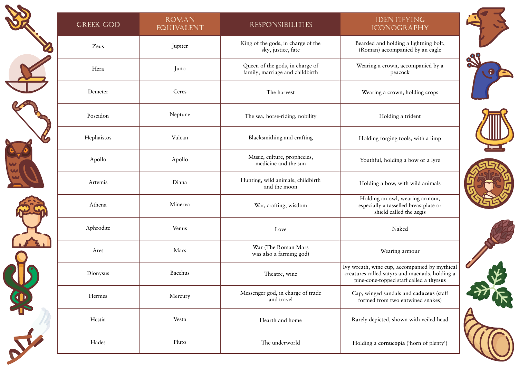| <b>GREEK GOD</b> | <b>ROMAN</b><br><b>EQUIVALENT</b> | <b>RESPONSIBILITIES</b>                                                                                                                                                                                                              | <b>IDENTIFYING</b><br><b>ICONOGRAPHY</b>                                                                             |  |
|------------------|-----------------------------------|--------------------------------------------------------------------------------------------------------------------------------------------------------------------------------------------------------------------------------------|----------------------------------------------------------------------------------------------------------------------|--|
| Zeus             | Jupiter                           | King of the gods, in charge of the<br>sky, justice, fate                                                                                                                                                                             | Bearded and holding a lightning bolt,<br>(Roman) accompanied by an eagle                                             |  |
| Hera             | Juno                              | Queen of the gods, in charge of<br>family, marriage and childbirth                                                                                                                                                                   | Wearing a crown, accompanied by a<br>peacock                                                                         |  |
| Demeter          | Ceres                             | The harvest                                                                                                                                                                                                                          | Wearing a crown, holding crops                                                                                       |  |
| Poseidon         | Neptune                           | The sea, horse-riding, nobility                                                                                                                                                                                                      | Holding a trident                                                                                                    |  |
| Hephaistos       | Vulcan                            | Blacksmithing and crafting                                                                                                                                                                                                           | Holding forging tools, with a limp                                                                                   |  |
| Apollo           | Apollo                            | Music, culture, prophecies,<br>medicine and the sun                                                                                                                                                                                  | Youthful, holding a bow or a lyre                                                                                    |  |
| Artemis          | Diana                             | Hunting, wild animals, childbirth<br>and the moon                                                                                                                                                                                    | Holding a bow, with wild animals                                                                                     |  |
| Athena           | Minerva                           | War, crafting, wisdom                                                                                                                                                                                                                | Holding an owl, wearing armour,<br>especially a tasselled breastplate or<br>shield called the aegis                  |  |
| Aphrodite        | Venus                             | Love                                                                                                                                                                                                                                 | The breastplate or shield of<br>Athena/Minerva, given to her<br>by her father Zeus/Jupiter and<br>covered in tassels |  |
| Ares             | Mars                              | War (The Roman Mars<br>was also a farming god)                                                                                                                                                                                       |                                                                                                                      |  |
| Dionysus         | Bacchus                           | npanied by mythical<br>Theatre, win A staff made out of giant fennel<br>maenads, holding a<br>called a thyrsus<br>and topped by a pine-cone,                                                                                         |                                                                                                                      |  |
| Hermes           | Mercury                           | Messenger god, in cha carried by the god Dionysus/<br>and travel<br>Bacchus                                                                                                                                                          | d caduceus (staff<br>wined snakes)                                                                                   |  |
| Hestia           | Vesta                             | A staff with two snakes wr<br>around it, carried by th<br>epicted,<br>A horn overflowing with food<br>Hermes/Mercury<br>and symbolising a plentiful<br>harvest - known as the 'horn of<br>a cornucopia ('horn of plenty')<br>plenty' |                                                                                                                      |  |
| Hades            | Pluto                             |                                                                                                                                                                                                                                      |                                                                                                                      |  |

88

 $\left\vert \bullet \right\rangle$ 







A staff with two snakes wrapped around it, carried by the god

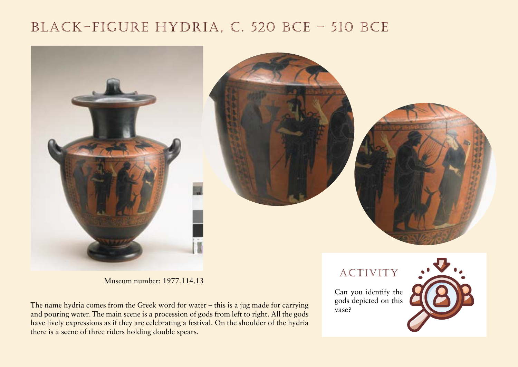# BLACK-FIGURE HYDRIA, C. 520 BCE - 510 BCE



Museum number: 1977.114.13

The name hydria comes from the Greek word for water – this is a jug made for carrying and pouring water. The main scene is a procession of gods from left to right. All the gods have lively expressions as if they are celebrating a festival. On the shoulder of the hydria there is a scene of three riders holding double spears.

ACTIVITY

Can you identify the gods depicted on this vase?

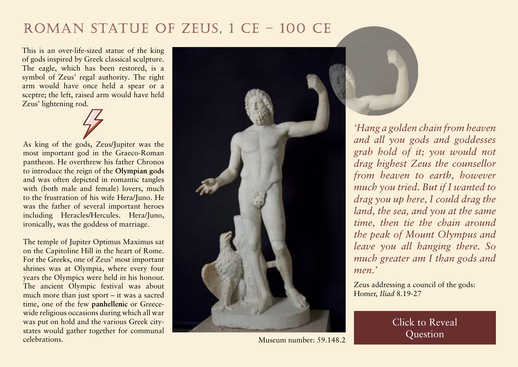# ROMAN STATUE OF ZEUS, 1 CE - 100 CE

This is an over-life-sized statue of the king of gods inspired by Greek classical sculpture. The eagle, which has been restored, is a symbol of Zeus' regal authority. The right arm would have once held a spear or a sceptre; the left, raised arm would have held Zeus' lightening rod.

As king of the gods, Zeus/Jupiter was the most important god in the Graeco-Roman pantheon. He overthrew his father Chronos to introduce the reign of the **Olympian gods** and was often dep

with (both male  $\overline{a}$  The twelve most important to the frustration  $\epsilon$  gods, they were thought to live was the father of on Mt Olympus in Greece including Heracles/Hercules. Hera/Juno, ironically, was the goddess of marriage.

The temple of Jupiter Optimus Maximus sat on the Capitoline Hill in the heart of Rome. For the Greeks, one of Zeus' most important shrines was at Olympia, where every four years the Olympics were held in his honour. The ancient Olympic festival was about much more than just sport – it was a sacred time, one of the few **panhellenic** or Greece-

wide religious occurs during which all Courts we write which engine Shared by all Greeks, no matter was put on  $\begin{bmatrix} 1 & 1 \\ 1 & 2 \end{bmatrix}$ states would celebrations. which city they came from



Museum number: 59.148.2



*'Hang a golden chain from heaven and all you gods and goddesses grab hold of it; you would not drag highest Zeus the counsellor from heaven to earth, however much you tried. But if I wanted to drag you up here, I could drag the land, the sea, and you at the same time, then tie the chain around the peak of Mount Olympus and leave you all hanging there. So much greater am I than gods and men.'*

Zeus addressing a council of the gods: Homer, *Iliad* 8.19-27

> **How does** Click to Reveal **position as king of the gods** in the gods in the gods in the gods in the gods in the gods in the gods in the gods in the gods in the gods in the gods in the gods in the gods in the gods in the gods in the gods in the gods Question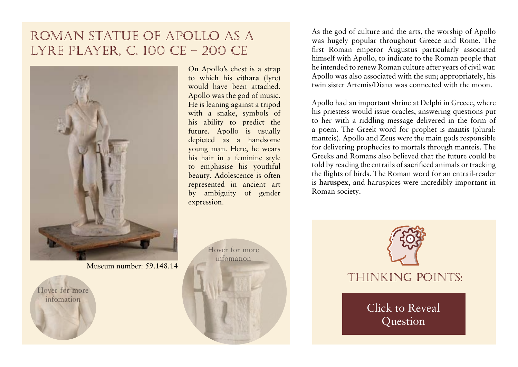# ROMAN STATUE OF APOLLO AS A LYRE PLAYER, C. 100 CE - 200 CE



Museum number: 59.148.14

Hover for more infomation

Prie rhipolloand basike sare both symbols of Apollo's strap to which his cithara abit<del>n</del>y to puddich ane fibena attached. Apollo was the god of music.

On Apollo's chest is a strap to which his **cithara** (lyre)

w<sub>w.</sub>  $\overline{A}$  A stringed musical instru <mark>H</mark> like a lyre or guitar

With a snake, symbols of his ability to predict the future. Apollo is usually depicted as a handsome young man. Here, he wears his hair in a feminine style to emphasise his youthful beauty. Adolescence is often represented in ancient art by ambiguity of gender expression.

> Hover for more infomation

As the god of culture and the arts, the worship of Apollo was hugely popular throughout Greece and Rome. The first Roman emperor Augustus particularly associated himself with Apollo, to indicate to the Roman people that he intended to renew Roman culture after years of civil war. Apollo was also associated with the sun; appropriately, his twin sister Artemis/Diana was connected with the moon.

Apollo had an important shrine at Delphi in Greece, where his priestess would issue oracles, answering questions put to her with a riddling message delivered in the form of a poem. The Greek word for prophet is **mantis** (plural:

manteis). Apollo and Zeus for delivering prophecies to Greeks and Romans also be told by reading the entrails  $\epsilon$ 

The Greek word for prophet, someone who told prophecies sent by Zeus or Apollo

the flights of birds. The Roman word for an entrail-reader is **haruspex**, and haruspices were incredibly important in

Roman society. A Roman fortune teller who examined the entrails of birds in order to predict the future

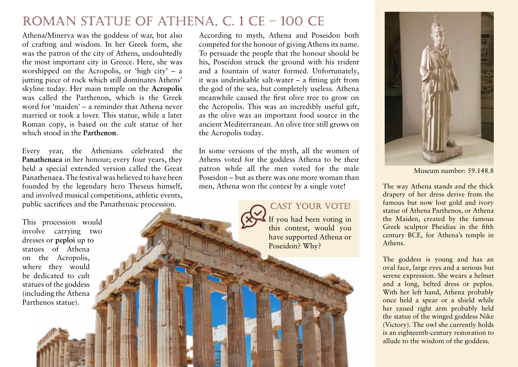## ROMAN STATUE OF ATHENA, C. 1 CE - 100 CE

Athena/Minerva was the goddess of war, but also of crafting and wisdom. In her Greek form, she was the patron of the city of Athens, undoubtedly the most important city in Greece. Here, she was worshipped on the Acropolis, or 'high city' – a jutting piece of rock which still dominates Athens' skyline today. Her main temple on the **Acropolis**  was called the Parthenon

word for 'maiden'  $-$  a remi married or took a lover. The Roman copy, is based on which stood in the **Parthen** 

Every  $\overrightarrow{A}$  temple on the Acropolis d the Panath<sub>e</sub> dedicated to Athena Partnenos, <sub>rs, they</sub> held a special extended version called the Great A yearly festival in honour  $\text{red to have been}$ of Athena – every four years, heseus himself, Athenians celebrated the Great athletic events, A temple on the Acropolis Athena the Maiden Panathenaea

The 'high city', the most important and highest place in Athens where they built temples to the most important gods

ic procession. dedicated to Athena 'Parthenos',

According to myth, Athena and Poseidon both competed for the honour of giving Athens its name. To persuade the people that the honour should be his, Poseidon struck the ground with his trident and a fountain of water formed. Unfortunately, it was undrinkable salt-water – a fitting gift from the god of the sea, but completely useless. Athena

> hile caused the first olive tree to grow on opolis. This was an incredibly useful gift, blive was an important food source in the Mediterranean. An olive tree still grows on opolis today.

In some versions of the myth, all the women of Athens voted for the goddess Athena to be their patron while all the men voted for the male Poseidon – but as there was one more woman than men, Athena won the contest by a single vote! The way Athena stands and the thick

### CAST YOUR VOTE!

If you had been voting in this contest, would you have supported Athena or Poseidon? Why?



Museum number: 59.148.8

drapery of her dress derive from the famous but now lost gold and ivory statue of Athena Parthenos, or Athena the Maiden, created by the famous Greek sculptor Pheidias in the fifth century BCE, for Athena's temple in Athens.

The goddess is young and has an oval face, large eyes and a serious but serene expression. She wears a helmet and a long, belted dress or peplos. With her left hand, Athena probably once held a spear or a shield while her raised right arm probably held the statue of the winged goddess Nike (Victory). The owl she currently holds is an eighteenth-century restoration to allude to the wisdom of the goddess.

This procession would involve carrying two dresses or **peploi** up to

 $\overline{1}$   $\overline{1}$   $\overline{1}$   $\overline{1}$   $\overline{1}$   $\overline{1}$   $\overline{1}$   $\overline{1}$   $\overline{1}$ 

Peplos (plural peploi) was a  $\log$ , belted dress worn by Greek women – every four years, Athenians dedicated two new peploi to the goddess Athena.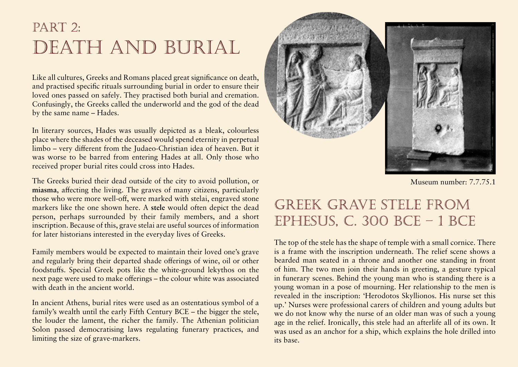# PART 2: DEATH AND BURIAL

Like all cultures, Greeks and Romans placed great significance on death, and practised specific rituals surrounding burial in order to ensure their loved ones passed on safely. They practised both burial and cremation. Confusingly, the Greeks called the underworld and the god of the dead by the same name – Hades.

In literary sources, Hades was usually depicted as a bleak, colourless place where the shades of the deceased would spend eternity in perpetual limbo – very different from the Judaeo-Christian idea of heaven. But it was worse to be barred from entering Hades at all. Only those who received proper burial rites could cross into Hades.

The Greeks buried their dead outside of the city to avoid pollution, or **miasma**, affecting the living. The graves of many citizens, particularly f, were marked with stelai, engraved stone here. A stele would often depict the dead person, perfectively discussed with the spread by bad air. An engraved gravestone  $\frac{\text{bers, and a short}}{\text{GSE}}$  $\cos$  of information. The Greek concept of pollution. They believed disease  $w^{\sim}$ An engraved gravestone

for later historians interested in the everyday lives of Greeks.

Family members would be expected to maintain their loved one's grave and regularly bring their departed shade offerings of wine, oil or other foodstuffs. Special Greek pots like the white-ground lekythos on the next page were used to make offerings – the colour white was associated with death in the ancient world.

In ancient Athens, burial rites were used as an ostentatious symbol of a family's wealth until the early Fifth Century BCE – the bigger the stele, the louder the lament, the richer the family. The Athenian politician Solon passed democratising laws regulating funerary practices, and limiting the size of grave-markers.



Museum number: 7.7.75.1

# GREEK GRAVE STELE FROM EPHESUS, C. 300 BCE  $-1$  BCE

The top of the stele has the shape of temple with a small cornice. There is a frame with the inscription underneath. The relief scene shows a bearded man seated in a throne and another one standing in front of him. The two men join their hands in greeting, a gesture typical in funerary scenes. Behind the young man who is standing there is a young woman in a pose of mourning. Her relationship to the men is revealed in the inscription: 'Herodotos Skyllionos. His nurse set this up.' Nurses were professional carers of children and young adults but we do not know why the nurse of an older man was of such a young age in the relief. Ironically, this stele had an afterlife all of its own. It was used as an anchor for a ship, which explains the hole drilled into its base.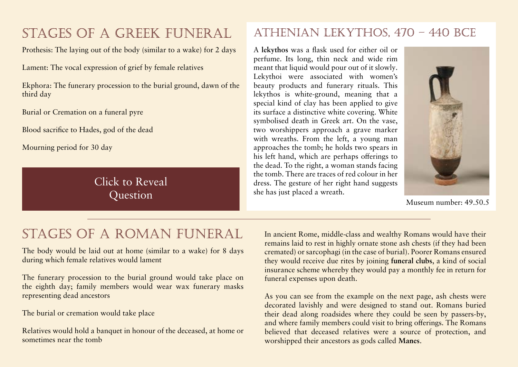# STAGES OF A GREEK FUNERAL

Prothesis: The laying out of the body (similar to a wake) for 2 days

Lament: The vocal expression of grief by female relatives

Ekphora: The funerary procession to the burial ground, dawn third day

Burial or Cremation on a funeral pyre

Blood sacrifice to Hades, god of the dead

Mourning period for 30 day

**How similar are Greek burial customs to modern are Greek burial customs to modern and the contract of the contract of the contract of the contract of the contract of the contract of the contract of the contract of the con Using your research skills to explore funeral properties around**  $\alpha$  **around**  $\alpha$  **around**  $\alpha$  **around**  $\alpha$ **the world, give some reasons for your answer.**

### ATHENIAN LEKYTHOS, 470 - 440 BCE

A **lekythos** was a flask used for either oil or

long neck and thick rim used ted with women's A type of Greek vase with a for storing oil – white-ground lekythoi were often used as offerings for the dead

neck and wide rim pour out of it slowly. inerary rituals. This id, meaning that a been applied to give

its surface a distinctive white covering. White symbolised death in Greek art. On the vase, two worshippers approach a grave marker with wreaths. From the left, a young man approaches the tomb; he holds two spears in his left hand, which are perhaps offerings to the dead. To the right, a woman stands facing the tomb. There are traces of red colour in her dress. The gesture of her right hand suggests she has just placed a wreath.



Museum number: 49.50.5

# STAGES OF A ROMAN FUNERAL

The body would be laid out at home (similar to a wake) for 8 days during which female relatives would lament

The funerary procession to the burial ground would take place on the eighth day; family members would wear wax funerary masks representing dead ancestors

The burial or cremation would take place

Relatives would hold a banquet in honour of the deceased, at home or sometimes near the tomb

In ancient Rome, middle-class and wealthy Romans would have their remains laid to rest in highly ornate stone ash chests (if they had been cremated) or sarcophagi (in the case of burial). Poorer Romans ensured they would receive due rites by joining **funeral clubs**, a kind of social

insurance scheme whereby the state of the state in form for funeral expenses upon death.

and v A Roman's ancestors, who had bring offerings. The Romans believ become gods after their death source of protection, and worsl and would continue to protect Manes. their descendents

Organisations which workingclass Romans could join as a kind of social insurance, to

As you can see from the  $ex$  kind of social insurance, to were decorated lavishly and were cover their funeral costs when uried their dead along roadsides they died  $rs-by$ , cover their funeral costs when they died